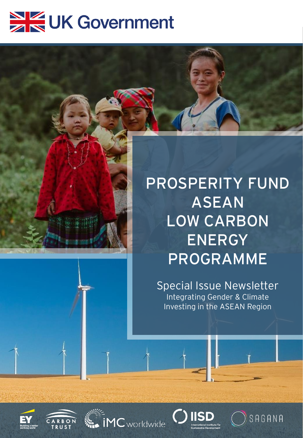# UK Government

## **PROSPERITY FUND ASEAN LOW CARBON ENERGY PROGRAMME**

Special Issue Newsletter Integrating Gender & Climate Investing in the ASEAN Region









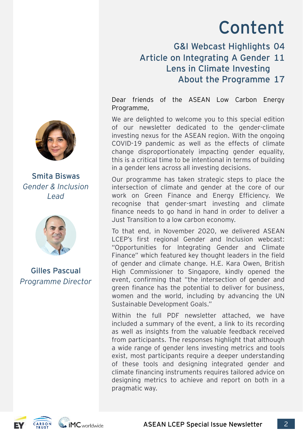# Content

G&I Webcast Highlights 04

#### Article on Integrating A Gender 11 Lens in Climate Investing About the Programme 17

Dear friends of the ASEAN Low Carbon Energy Programme,

We are delighted to welcome you to this special edition of our newsletter dedicated to the gender-climate investing nexus for the ASEAN region. With the ongoing COVID-19 pandemic as well as the effects of climate change disproportionately impacting gender equality, this is a critical time to be intentional in terms of building in a gender lens across all investing decisions.

Our programme has taken strategic steps to place the intersection of climate and gender at the core of our work on Green Finance and Energy Efficiency. We recognise that gender-smart investing and climate finance needs to go hand in hand in order to deliver a Just Transition to a low carbon economy.

To that end, in November 2020, we delivered ASEAN LCEP's first regional Gender and Inclusion webcast: "Opportunities for Integrating Gender and Climate Finance" which featured key thought leaders in the field of gender and climate change. H.E. Kara Owen, British High Commissioner to Singapore, kindly opened the event, confirming that "the intersection of gender and green finance has the potential to deliver for business, women and the world, including by advancing the UN Sustainable Development Goals."

Within the full PDF newsletter attached, we have included a summary of the event, a link to its recording as well as insights from the valuable feedback received from participants. The responses highlight that although a wide range of gender lens investing metrics and tools exist, most participants require a deeper understanding of these tools and designing integrated gender and climate financing instruments requires tailored advice on designing metrics to achieve and report on both in a pragmatic way.



**Smita Biswas** *Gender & Inclusion Lead*



**Gilles Pascual** *Programme Director*

 $\blacksquare$  iMC worldwide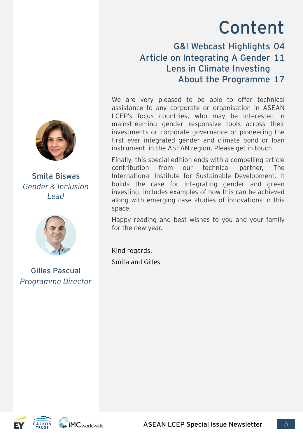# Content

G&I Webcast Highlights 04

#### Article on Integrating A Gender 11 Lens in Climate Investing About the Programme 17

We are very pleased to be able to offer technical assistance to any corporate or organisation in ASEAN LCEP's focus countries, who may be interested in mainstreaming gender responsive tools across their investments or corporate governance or pioneering the first ever integrated gender and climate bond or loan instrument in the ASEAN region. Please get in touch.

Finally, this special edition ends with a compelling article contribution from our technical partner, The International Institute for Sustainable Development. It builds the case for integrating gender and green investing, includes examples of how this can be achieved along with emerging case studies of innovations in this space.

Happy reading and best wishes to you and your family for the new year.

Kind regards, Smita and Gilles



**Smita Biswas** *Gender & Inclusion Lead*



**Gilles Pascual** *Programme Director*



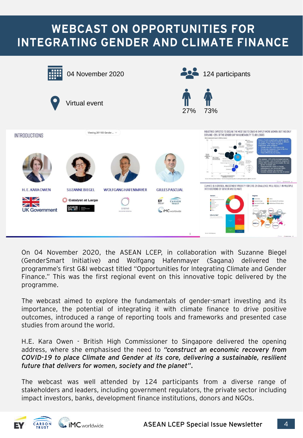### WEBCAST ON OPPORTUNITIES FOR INTEGRATING GENDER AND CLIMATE FINANCE



On 04 November 2020, the ASEAN LCEP, in collaboration with Suzanne Biegel (GenderSmart Initiative) and Wolfgang Hafenmayer (Sagana) delivered the programme's first G&I webcast titled "Opportunities for Integrating Climate and Gender Finance." This was the first regional event on this innovative topic delivered by the programme.

The webcast aimed to explore the fundamentals of gender-smart investing and its importance, the potential of integrating it with climate finance to drive positive outcomes, introduced a range of reporting tools and frameworks and presented case studies from around the world.

H.E. Kara Owen - British High Commissioner to Singapore delivered the opening address, where she emphasised the need to *"construct an economic recovery from COVID-19 to place Climate and Gender at its core, delivering a sustainable, resilient future that delivers for women, society and the planet".*

The webcast was well attended by 124 participants from a diverse range of stakeholders and leaders, including government regulators, the private sector including impact investors, banks, development finance institutions, donors and NGOs.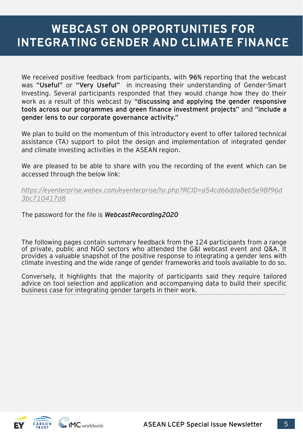### WEBCAST ON OPPORTUNITIES FOR INTEGRATING GENDER AND CLIMATE FINANCE

We received positive feedback from participants, with **96%** reporting that the webcast was **"Useful"** or **"Very Useful"** in increasing their understanding of Gender-Smart Investing. Several participants responded that they would change how they do their work as a result of this webcast by **"discussing and applying the gender responsive tools across our programmes and green finance investment projects"** and **"include a gender lens to our corporate governance activity."**

We plan to build on the momentum of this introductory event to offer tailored technical assistance (TA) support to pilot the design and implementation of integrated gender and climate investing activities in the ASEAN region.

We are pleased to be able to share with you the recording of the event which can be accessed through the below link:

*[https://eyenterprise.webex.com/eyenterprise/lsr.php?RCID=a54cd66dda8eb5e98f96d](https://eyenterprise.webex.com/eyenterprise/lsr.php?RCID=a54cd66dda8eb5e98f96d3bc710417d8) 3bc710417d8*

The password for the file is *WebcastRecording2020*

The following pages contain summary feedback from the 124 participants from a range of private, public and NGO sectors who attended the G&I webcast event and Q&A. It provides a valuable snapshot of the positive response to integrating a gender lens with climate investing and the wide range of gender frameworks and tools available to do so.

Conversely, it highlights that the majority of participants said they require tailored advice on tool selection and application and accompanying data to build their specific business case for integrating gender targets in their work.

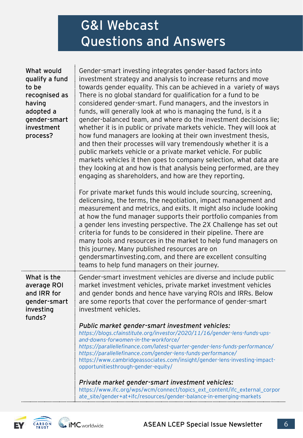### G&I Webcast Questions and Answers

| What would<br>qualify a fund<br>to be<br>recognised as<br>having<br>adopted a<br>gender-smart<br>investment<br>process? | Gender-smart investing integrates gender-based factors into<br>investment strategy and analysis to increase returns and move<br>towards gender equality. This can be achieved in a variety of ways<br>There is no global standard for qualification for a fund to be<br>considered gender-smart. Fund managers, and the investors in<br>funds, will generally look at who is managing the fund, is it a<br>gender-balanced team, and where do the investment decisions lie;<br>whether it is in public or private markets vehicle. They will look at<br>how fund managers are looking at their own investment thesis,<br>and then their processes will vary tremendously whether it is a<br>public markets vehicle or a private market vehicle. For public<br>markets vehicles it then goes to company selection, what data are<br>they looking at and how is that analysis being performed, are they<br>engaging as shareholders, and how are they reporting.<br>For private market funds this would include sourcing, screening, |
|-------------------------------------------------------------------------------------------------------------------------|------------------------------------------------------------------------------------------------------------------------------------------------------------------------------------------------------------------------------------------------------------------------------------------------------------------------------------------------------------------------------------------------------------------------------------------------------------------------------------------------------------------------------------------------------------------------------------------------------------------------------------------------------------------------------------------------------------------------------------------------------------------------------------------------------------------------------------------------------------------------------------------------------------------------------------------------------------------------------------------------------------------------------------|
|                                                                                                                         | delicensing, the terms, the negotiation, impact management and<br>measurement and metrics, and exits. It might also include looking<br>at how the fund manager supports their portfolio companies from<br>a gender lens investing perspective. The 2X Challenge has set out<br>criteria for funds to be considered in their pipeline. There are<br>many tools and resources in the market to help fund managers on<br>this journey. Many published resources are on<br>gendersmartinvesting.com, and there are excellent consulting<br>teams to help fund managers on their journey.                                                                                                                                                                                                                                                                                                                                                                                                                                               |
| What is the<br>average ROI<br>and IRR for<br>gender-smart<br>investing<br>funds?                                        | Gender-smart investment vehicles are diverse and include public<br>market investment vehicles, private market investment vehicles<br>and gender bonds and hence have varying ROIs and IRRs. Below<br>are some reports that cover the performance of gender-smart<br>investment vehicles.<br>Public market gender-smart investment vehicles:<br>https://blogs.cfainstitute.org/investor/2020/11/16/gender-lens-funds-ups-<br>and-downs-forwomen-in-the-workforce/<br>https://parallellefinance.com/latest-quarter-gender-lens-funds-performance/<br>https://parallellefinance.com/gender-lens-funds-performance/<br>https://www.cambridgeassociates.com/insight/gender-lens-investing-impact-<br>opportunitiesthrough-gender-equity/<br>Private market gender-smart investment vehicles:                                                                                                                                                                                                                                            |
|                                                                                                                         | https://www.ifc.org/wps/wcm/connect/topics_ext_content/ifc_external_corpor<br>ate_site/gender+at+ifc/resources/gender-balance-in-emerging-markets                                                                                                                                                                                                                                                                                                                                                                                                                                                                                                                                                                                                                                                                                                                                                                                                                                                                                  |

**MC** worldwide **CARBON** EY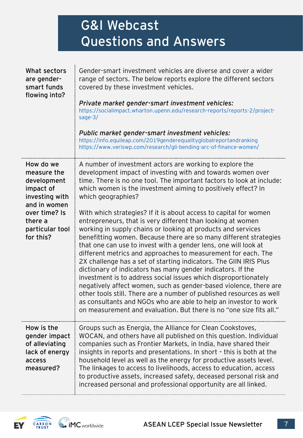### G&I Webcast Questions and Answers

| What sectors<br>are gender-<br>smart funds<br>flowing into?                                                                                        | Gender-smart investment vehicles are diverse and cover a wider<br>range of sectors. The below reports explore the different sectors<br>covered by these investment vehicles.<br>Private market gender-smart investment vehicles:<br>https://socialimpact.wharton.upenn.edu/research-reports/reports-2/project-<br>sage- $3/$<br>Public market gender-smart investment vehicles:<br>https://info.equileap.com/2019genderequalityglobalreportandranking<br>https://www.veriswp.com/research/gli-bending-arc-of-finance-women/                                                                                                                                                                                                                                                                                                                                                                                                                                                                                                                                                                                                                                                                         |
|----------------------------------------------------------------------------------------------------------------------------------------------------|-----------------------------------------------------------------------------------------------------------------------------------------------------------------------------------------------------------------------------------------------------------------------------------------------------------------------------------------------------------------------------------------------------------------------------------------------------------------------------------------------------------------------------------------------------------------------------------------------------------------------------------------------------------------------------------------------------------------------------------------------------------------------------------------------------------------------------------------------------------------------------------------------------------------------------------------------------------------------------------------------------------------------------------------------------------------------------------------------------------------------------------------------------------------------------------------------------|
| How do we<br>measure the<br>development<br>impact of<br>investing with<br>and in women<br>over time? Is<br>there a<br>particular tool<br>for this? | A number of investment actors are working to explore the<br>development impact of investing with and towards women over<br>time. There is no one tool. The important factors to look at include:<br>which women is the investment aiming to positively effect? In<br>which geographies?<br>With which strategies? If it is about access to capital for women<br>entrepreneurs, that is very different than looking at women<br>working in supply chains or looking at products and services<br>benefitting women. Because there are so many different strategies<br>that one can use to invest with a gender lens, one will look at<br>different metrics and approaches to measurement for each. The<br>2X challenge has a set of starting indicators. The GIIN IRIS Plus<br>dictionary of indicators has many gender indicators. If the<br>investment is to address social issues which disproportionately<br>negatively affect women, such as gender-based violence, there are<br>other tools still. There are a number of published resources as well<br>as consultants and NGOs who are able to help an investor to work<br>on measurement and evaluation. But there is no "one size fits all." |
| How is the<br>gender impact<br>of alleviating<br>lack of energy<br>access<br>measured?                                                             | Groups such as Energia, the Alliance for Clean Cookstoves,<br>WOCAN, and others have all published on this question. Individual<br>companies such as Frontier Markets, in India, have shared their<br>insights in reports and presentations. In short - this is both at the<br>household level as well as the energy for productive assets level.<br>The linkages to access to livelihoods, access to education, access<br>to productive assets, increased safety, deceased personal risk and<br>increased personal and professional opportunity are all linked.                                                                                                                                                                                                                                                                                                                                                                                                                                                                                                                                                                                                                                    |

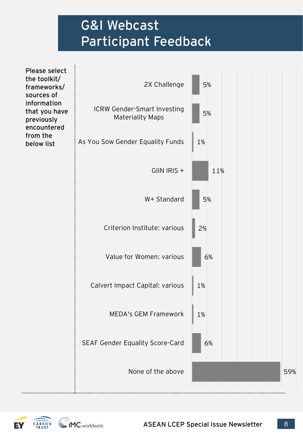### G&I Webcast Participant Feedback



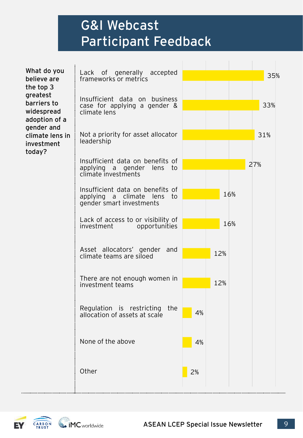### G&I Webcast Participant Feedback

| What do you<br>believe are<br>the top 3<br>greatest<br>barriers to<br>widespread<br>adoption of a<br>gender and<br>climate lens in<br>investment<br>today? | Lack of generally accepted<br>frameworks or metrics<br>Insufficient data on business<br>case for applying a gender &<br>climate lens | 35%<br>33% |
|------------------------------------------------------------------------------------------------------------------------------------------------------------|--------------------------------------------------------------------------------------------------------------------------------------|------------|
|                                                                                                                                                            | Not a priority for asset allocator<br>leadership                                                                                     | 31%        |
|                                                                                                                                                            | Insufficient data on benefits of<br>applying a gender lens to<br>climate investments                                                 | 27%        |
|                                                                                                                                                            | Insufficient data on benefits of<br>applying a climate<br>lens<br>to<br>gender smart investments                                     | 16%        |
|                                                                                                                                                            | Lack of access to or visibility of<br>investment<br>opportunities                                                                    | 16%        |
|                                                                                                                                                            | Asset allocators' gender<br>and<br>climate teams are siloed                                                                          | 12%        |
|                                                                                                                                                            | There are not enough women in<br>investment teams                                                                                    | 12%        |
|                                                                                                                                                            | Regulation is restricting<br>the<br>allocation of assets at scale                                                                    | 4%         |
|                                                                                                                                                            | None of the above                                                                                                                    | 4%         |
|                                                                                                                                                            | Other                                                                                                                                | 2%         |

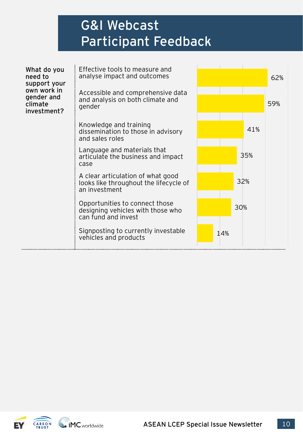### G&I Webcast Participant Feedback

| What do you<br>need to<br>support your<br>own work in<br>gender and<br>climate<br>investment? | Effective tools to measure and<br>analyse impact and outcomes<br>Accessible and comprehensive data<br>and analysis on both climate and<br>gender |     | 62%<br>59% |
|-----------------------------------------------------------------------------------------------|--------------------------------------------------------------------------------------------------------------------------------------------------|-----|------------|
|                                                                                               | Knowledge and training<br>dissemination to those in advisory<br>and sales roles                                                                  | 41% |            |
|                                                                                               | Language and materials that<br>articulate the business and impact<br>case                                                                        | 35% |            |
|                                                                                               | A clear articulation of what good<br>looks like throughout the lifecycle of<br>an investment                                                     | 32% |            |
|                                                                                               | Opportunities to connect those<br>designing vehicles with those who<br>can fund and invest                                                       | 30% |            |
|                                                                                               | Signposting to currently investable<br>vehicles and products                                                                                     | 14% |            |



 $\ddotsc$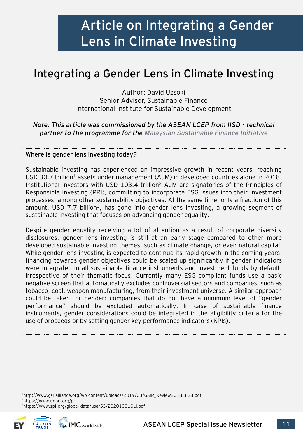### **Integrating a Gender Lens in Climate Investing**

Author: David Uzsoki Senior Advisor, Sustainable Finance International Institute for Sustainable Development

*Note: This article was commissioned by the ASEAN LCEP from IISD - technical partner to the programme for the [Malaysian Sustainable Finance Initiative](https://www.msfi.com.my/)*

#### **Where is gender lens investing today?**

Sustainable investing has experienced an impressive growth in recent years, reaching USD 30.7 trillion<sup>1</sup> assets under management (AuM) in developed countries alone in 2018. Institutional investors with USD 103.4 trillion<sup>2</sup> AuM are signatories of the Principles of Responsible Investing (PRI), committing to incorporate ESG issues into their investment processes, among other sustainability objectives. At the same time, only a fraction of this amount, USD 7.7 billion<sup>3</sup>, has gone into gender lens investing, a growing segment of sustainable investing that focuses on advancing gender equality.

Despite gender equality receiving a lot of attention as a result of corporate diversity disclosures, gender lens investing is still at an early stage compared to other more developed sustainable investing themes, such as climate change, or even natural capital. While gender lens investing is expected to continue its rapid growth in the coming years, financing towards gender objectives could be scaled up significantly if gender indicators were integrated in all sustainable finance instruments and investment funds by default, irrespective of their thematic focus. Currently many ESG compliant funds use a basic negative screen that automatically excludes controversial sectors and companies, such as tobacco, coal, weapon manufacturing, from their investment universe. A similar approach could be taken for gender: companies that do not have a minimum level of "gender performance" should be excluded automatically. In case of sustainable finance instruments, gender considerations could be integrated in the eligibility criteria for the use of proceeds or by setting gender key performance indicators (KPIs).

<sup>1</sup>http://www.gsi-alliance.org/wp-content/uploads/2019/03/GSIR\_Review2018.3.28.pdf <sup>2</sup>https://www.unpri.org/pri <sup>3</sup>https://www.spf.org/global-data/user53/20201001GLI.pdf



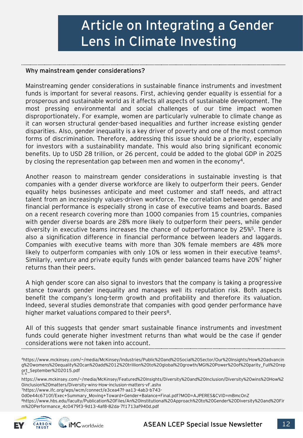#### **Why mainstream gender considerations?**

Mainstreaming gender considerations in sustainable finance instruments and investment funds is important for several reasons. First, achieving gender equality is essential for a prosperous and sustainable world as it affects all aspects of sustainable development. The most pressing environmental and social challenges of our time impact women disproportionately. For example, women are particularly vulnerable to climate change as it can worsen structural gender-based inequalities and further increase existing gender disparities. Also, gender inequality is a key driver of poverty and one of the most common forms of discrimination. Therefore, addressing this issue should be a priority, especially for investors with a sustainability mandate. This would also bring significant economic benefits. Up to USD 28 trillion, or 26 percent, could be added to the global GDP in 2025 by closing the representation gap between men and women in the economy<sup>4</sup>.

Another reason to mainstream gender considerations in sustainable investing is that companies with a gender diverse workforce are likely to outperform their peers. Gender equality helps businesses anticipate and meet customer and staff needs, and attract talent from an increasingly values-driven workforce. The correlation between gender and financial performance is especially strong in case of executive teams and boards. Based on a recent research covering more than 1000 companies from 15 countries, companies with gender diverse boards are 28% more likely to outperform their peers, while gender diversity in executive teams increases the chance of outperformance by 25%<sup>5</sup>. There is also a signification difference in financial performance between leaders and laggards. Companies with executive teams with more than 30% female members are 48% more likely to outperform companies with only 10% or less women in their executive teams<sup>6</sup>. Similarly, venture and private equity funds with gender balanced teams have 20%<sup>7</sup> higher returns than their peers.

A high gender score can also signal to investors that the company is taking a progressive stance towards gender inequality and manages well its reputation risk. Both aspects benefit the company's long-term growth and profitability and therefore its valuation. Indeed, several studies demonstrate that companies with good gender performance have higher market valuations compared to their peers<sup>8</sup>.

All of this suggests that gender smart sustainable finance instruments and investment funds could generate higher investment returns than what would be the case if gender considerations were not taken into account.

<sup>4</sup>https://www.mckinsey.com/~/media/McKinsey/Industries/Public%20and%20Social%20Sector/Our%20Insights/How%20advancin g%20womens%20equality%20can%20add%2012%20trillion%20to%20global%20growth/MGI%20Power%20of%20parity\_Full%20rep ort\_September%202015.pdf<br><sub>5, 6</sub>

https://www.mckinsey.com/~/media/McKinsey/Featured%20Insights/Diversity%20and%20Inclusion/Diversity%20wins%20How%2 0inclusion%20matters/Diversity-wins-How-inclusion-matters-vF.ashx

<sup>7</sup>https://www.ifc.org/wps/wcm/connect/e3cea47f-aa13-4ab3-b743-

0d0e44c6710f/Exec+Summary\_Moving+Toward+Gender+Balance+Final.pdf?MOD=AJPERES&CVID=mBmcOnZ

<sup>8</sup>https://www.hbs.edu/faculty/Publication%20Files/An%20Institutional%20Approach%20to%20Gender%20Diversity%20and%20Fir m%20Performance\_4c0479f3-9d13-4af8-82da-7f1713af940d.pdf



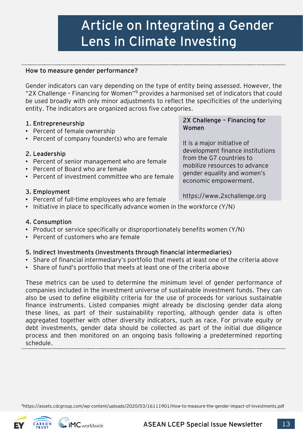#### **How to measure gender performance?**

Gender indicators can vary depending on the type of entity being assessed. However, the "2X Challenge – Financing for Women"<sup>9</sup> provides a harmonised set of indicators that could be used broadly with only minor adjustments to reflect the specificities of the underlying entity. The indicators are organized across five categories.

#### **1. Entrepreneurship**

- Percent of female ownership
- Percent of company founder(s) who are female

#### **2. Leadership**

- Percent of senior management who are female
- Percent of Board who are female
- Percent of investment committee who are female

#### **3. Employment**

- Percent of full-time employees who are female
- Initiative in place to specifically advance women in the workforce (Y/N)

#### **4. Consumption**

- Product or service specifically or disproportionately benefits women (Y/N)
- Percent of customers who are female

 $\bullet$  iMC worldwide

#### **5. Indirect Investments (investments through financial intermediaries)**

- Share of financial intermediary's portfolio that meets at least one of the criteria above
- Share of fund's portfolio that meets at least one of the criteria above

These metrics can be used to determine the minimum level of gender performance of companies included in the investment universe of sustainable investment funds. They can also be used to define eligibility criteria for the use of proceeds for various sustainable finance instruments. Listed companies might already be disclosing gender data along these lines, as part of their sustainability reporting, although gender data is often aggregated together with other diversity indicators, such as race. For private equity or debt investments, gender data should be collected as part of the initial due diligence process and then monitored on an ongoing basis following a predetermined reporting schedule.

<sup>9</sup>https://assets.cdcgroup.com/wp-content/uploads/2020/03/16111901/How-to-measure-the-gender-impact-of-investments.pdf



**2X Challenge – Financing for Women**

It is a major initiative of development finance institutions from the G7 countries to mobilize resources to advance gender equality and women's economic empowerment.

https://www.2xchallenge.org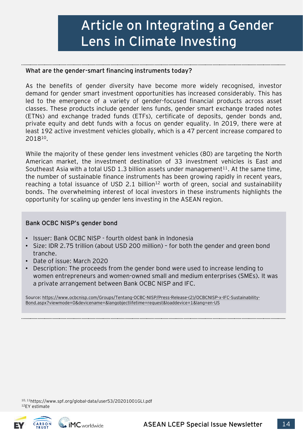#### **What are the gender-smart financing instruments today?**

As the benefits of gender diversity have become more widely recognised, investor demand for gender smart investment opportunities has increased considerably. This has led to the emergence of a variety of gender-focused financial products across asset classes. These products include gender lens funds, gender smart exchange traded notes (ETNs) and exchange traded funds (ETFs), certificate of deposits, gender bonds and, private equity and debt funds with a focus on gender equality. In 2019, there were at least 192 active investment vehicles globally, which is a 47 percent increase compared to 2018<sup>10</sup>.

While the majority of these gender lens investment vehicles (80) are targeting the North American market, the investment destination of 33 investment vehicles is East and Southeast Asia with a total USD 1.3 billion assets under management<sup>11</sup>. At the same time, the number of sustainable finance instruments has been growing rapidly in recent years, reaching a total issuance of USD 2.1 billion<sup>12</sup> worth of green, social and sustainability bonds. The overwhelming interest of local investors in these instruments highlights the opportunity for scaling up gender lens investing in the ASEAN region.

#### **Bank OCBC NISP's gender bond**

- Issuer: Bank OCBC NISP fourth oldest bank in Indonesia
- Size: IDR 2.75 trillion (about USD 200 million) for both the gender and green bond tranche.
- Date of issue: March 2020
- Description: The proceeds from the gender bond were used to increase lending to women entrepreneurs and women-owned small and medium enterprises (SMEs). It was a private arrangement between Bank OCBC NISP and IFC.

[Source: https://www.ocbcnisp.com/Groups/Tentang-OCBC-NISP/Press-Release-\(2\)/OCBCNISP-x-IFC-Sustainability-](https://www.ocbcnisp.com/Groups/Tentang-OCBC-NISP/Press-Release-(2)/OCBCNISP-x-IFC-Sustainability-Bond.aspx?viewmode=0&devicename=&langobjectlifetime=request&loaddevice=1&lang=en-US)Bond.aspx?viewmode=0&devicename=&langobjectlifetime=request&loaddevice=1&lang=en-US

10, 11https://www.spf.org/global-data/user53/20201001GLI.pdf <sup>12</sup>EY estimate

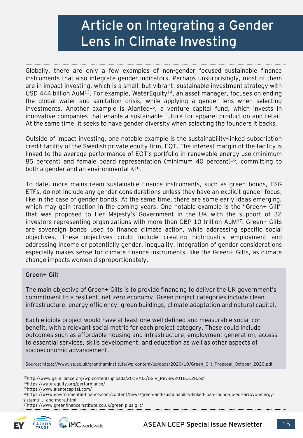Globally, there are only a few examples of non-gender focused sustainable finance instruments that also integrate gender indicators. Perhaps unsurprisingly, most of them are in impact investing, which is a small, but vibrant, sustainable investment strategy with USD 444 billion AuM<sup>13</sup>. For example, WaterEquity<sup>14</sup>, an asset manager, focuses on ending the global water and sanitation crisis, while applying a gender lens when selecting investments. Another example is Alanted<sup>15</sup>, a venture capital fund, which invests in innovative companies that enable a sustainable future for apparel production and retail. At the same time, it seeks to have gender diversity when selecting the founders it backs.

Outside of impact investing, one notable example is the sustainability-linked subscription credit facility of the Swedish private equity firm, EQT. The interest margin of the facility is linked to the average performance of EQT's portfolio in renewable energy use (minimum 85 percent) and female board representation (minimum 40 percent)<sup>16</sup>, committing to both a gender and an environmental KPI.

To date, more mainstream sustainable finance instruments, such as green bonds, ESG ETFs, do not include any gender considerations unless they have an explicit gender focus, like in the case of gender bonds. At the same time, there are some early ideas emerging, which may gain traction in the coming years. One notable example is the "Green+ Gilt" that was proposed to Her Majesty's Government in the UK with the support of 32 investors representing organizations with more than GBP 10 trillion  $AuM^{17}$ . Green+ Gilts are sovereign bonds used to finance climate action, while addressing specific social objectives. These objectives could include creating high-quality employment and addressing income or potentially gender, inequality. Integration of gender considerations especially makes sense for climate finance instruments, like the Green+ Gilts, as climate change impacts women disproportionately.

#### **Green+ Gilt**

The main objective of Green+ Gilts is to provide financing to deliver the UK government's commitment to a resilient, net-zero economy. Green project categories include clean infrastructure, energy efficiency, green buildings, climate adaptation and natural capital.

Each eligible project would have at least one well defined and measurable social cobenefit, with a relevant social metric for each project category. These could include outcomes such as affordable housing and infrastructure, employment generation, access to essential services, skills development, and education as well as other aspects of socioeconomic advancement.

Source: https://www.lse.ac.uk/granthaminstitute/wp-content/uploads/2020/10/Green\_Gilt\_Proposal\_October\_2020.pdf

<sup>13</sup>http://www.gsi-alliance.org/wp-content/uploads/2019/03/GSIR\_Review2018.3.28.pdf

<sup>14</sup>https://waterequity.org/performance/

<sup>15</sup>https://www.alantecapital.com/

16https://www.environmental-finance.com/content/news/green-and-sustainability-linked-loan-round-up-eqt-arroyo-energysistema-...-and-more.html

<sup>17</sup>https://www.greenfinanceinstitute.co.uk/green-plus-gilt/

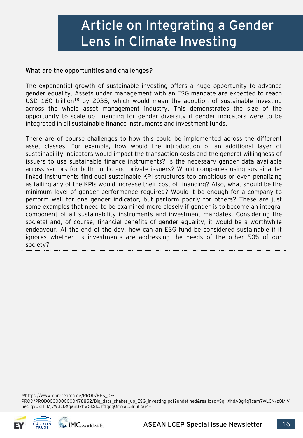#### **What are the opportunities and challenges?**

The exponential growth of sustainable investing offers a huge opportunity to advance gender equality. Assets under management with an ESG mandate are expected to reach USD 160 trillion<sup>18</sup> by 2035, which would mean the adoption of sustainable investing across the whole asset management industry. This demonstrates the size of the opportunity to scale up financing for gender diversity if gender indicators were to be integrated in all sustainable finance instruments and investment funds.

There are of course challenges to how this could be implemented across the different asset classes. For example, how would the introduction of an additional layer of sustainability indicators would impact the transaction costs and the general willingness of issuers to use sustainable finance instruments? Is the necessary gender data available across sectors for both public and private issuers? Would companies using sustainablelinked instruments find dual sustainable KPI structures too ambitious or even penalizing as failing any of the KPIs would increase their cost of financing? Also, what should be the minimum level of gender performance required? Would it be enough for a company to perform well for one gender indicator, but perform poorly for others? These are just some examples that need to be examined more closely if gender is to become an integral component of all sustainability instruments and investment mandates. Considering the societal and, of course, financial benefits of gender equality, it would be a worthwhile endeavour. At the end of the day, how can an ESG fund be considered sustainable if it ignores whether its investments are addressing the needs of the other 50% of our society?

18https://www.dbresearch.de/PROD/RPS\_DE-

PROD/PROD0000000000478852/Big\_data\_shakes\_up\_ESG\_investing.pdf?undefined&realload=SqHXhdA3g4qTcam7wLCN/zOMlV Se1IqvU2HFMjvW3cDXqa8B7hwGkSId3f1qqqQmYaL3lnuF6u4=



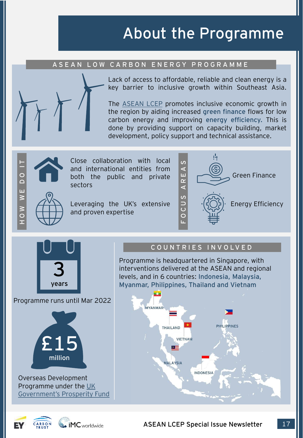### About the Programme

#### **A S E A N L O W C A R B O N E N E R G Y P R O G R A M M E**



Lack of access to affordable, reliable and clean energy is a key barrier to inclusive growth within Southeast Asia.

The [ASEAN](https://www.gov.uk/government/publications/asean-low-carbon-energy-programme) LCEP promotes inclusive economic growth in the region by aiding increased **green finance** flows for low carbon energy and improving **energy efficiency.** This is done by providing support on capacity building, market development, policy support and technical assistance.



Close collaboration with local and international entities from both the public and private sectors

Leveraging the UK's extensive and proven expertise





Programme runs until Mar 2022



Overseas Development Programme under the UK

#### **C O U N T R I E S I N V O LV E D**

Programme is headquartered in Singapore, with interventions delivered at the ASEAN and regional levels, and in 6 countries: **Indonesia, Malaysia, Myanmar, Philippines, Thailand and Vietnam**



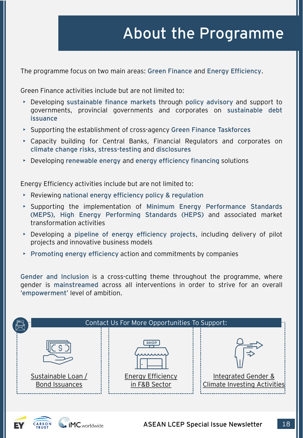### About the Programme

The programme focus on two main areas: **Green Finance** and **Energy Efficiency**.

Green Finance activities include but are not limited to:

- Developing **sustainable finance markets** through **policy advisory** and support to governments, provincial governments and corporates on **sustainable debt issuance**
- Supporting the establishment of cross-agency **Green Finance Taskforces**
- Capacity building for Central Banks, Financial Regulators and corporates on **climate change risks**, **stress-testing** and **disclosures**
- Developing **renewable energy** and **energy efficiency financing** solutions

Energy Efficiency activities include but are not limited to:

- Reviewing **national energy efficiency policy & regulation**
- Supporting the implementation of **Minimum Energy Performance Standards (MEPS), High Energy Performing Standards (HEPS)** and associated market transformation activities
- Developing a **pipeline of energy efficiency projects**, including delivery of pilot projects and innovative business models
- **Promoting energy efficiency** action and commitments by companies

**Gender and Inclusion** is a cross-cutting theme throughout the programme, where gender is **mainstreamed** across all interventions in order to strive for an overall '**empowerment**' level of ambition.